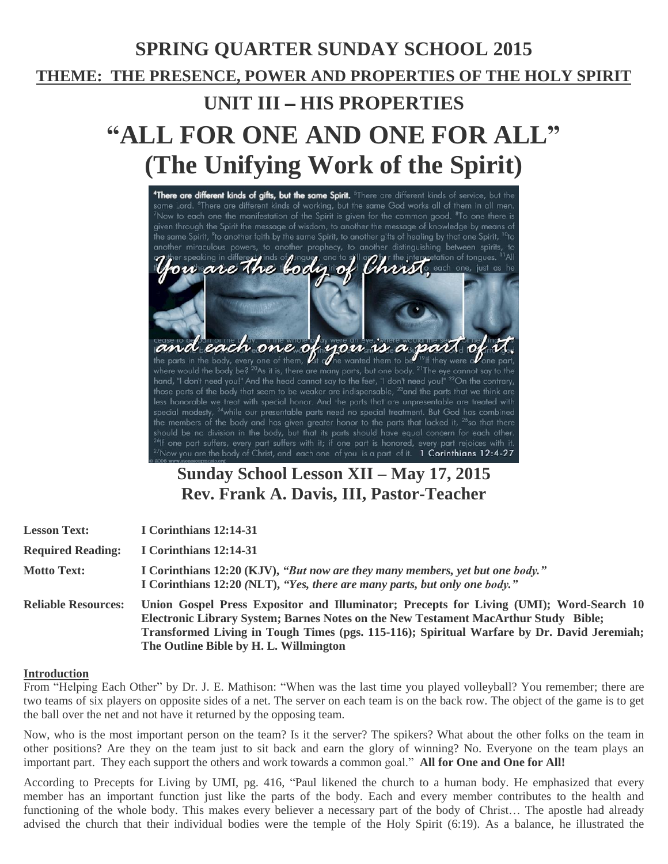# **SPRING QUARTER SUNDAY SCHOOL 2015 THEME: THE PRESENCE, POWER AND PROPERTIES OF THE HOLY SPIRIT UNIT III** – **HIS PROPERTIES "ALL FOR ONE AND ONE FOR ALL" (The Unifying Work of the Spirit)** "There are different kinds of gifts, but the same Spirit. <sup>6</sup>There are different kinds of service, but the



## **Sunday School Lesson XII – May 17, 2015 Rev. Frank A. Davis, III, Pastor-Teacher**

| <b>Lesson Text:</b>        | I Corinthians 12:14-31                                                                                                                                                                                                                                                                                                 |
|----------------------------|------------------------------------------------------------------------------------------------------------------------------------------------------------------------------------------------------------------------------------------------------------------------------------------------------------------------|
| <b>Required Reading:</b>   | I Corinthians 12:14-31                                                                                                                                                                                                                                                                                                 |
| <b>Motto Text:</b>         | I Corinthians 12:20 (KJV), "But now are they many members, yet but one body."<br>I Corinthians 12:20 (NLT), "Yes, there are many parts, but only one body."                                                                                                                                                            |
| <b>Reliable Resources:</b> | Union Gospel Press Expositor and Illuminator; Precepts for Living (UMI); Word-Search 10<br>Electronic Library System; Barnes Notes on the New Testament MacArthur Study Bible;<br>Transformed Living in Tough Times (pgs. 115-116); Spiritual Warfare by Dr. David Jeremiah;<br>The Outline Bible by H. L. Willmington |

#### **Introduction**

From "Helping Each Other" by Dr. J. E. Mathison: "When was the last time you played volleyball? You remember; there are two teams of six players on opposite sides of a net. The server on each team is on the back row. The object of the game is to get the ball over the net and not have it returned by the opposing team.

Now, who is the most important person on the team? Is it the server? The spikers? What about the other folks on the team in other positions? Are they on the team just to sit back and earn the glory of winning? No. Everyone on the team plays an important part. They each support the others and work towards a common goal." **All for One and One for All!**

According to Precepts for Living by UMI, pg. 416, "Paul likened the church to a human body. He emphasized that every member has an important function just like the parts of the body. Each and every member contributes to the health and functioning of the whole body. This makes every believer a necessary part of the body of Christ… The apostle had already advised the church that their individual bodies were the temple of the Holy Spirit (6:19). As a balance, he illustrated the